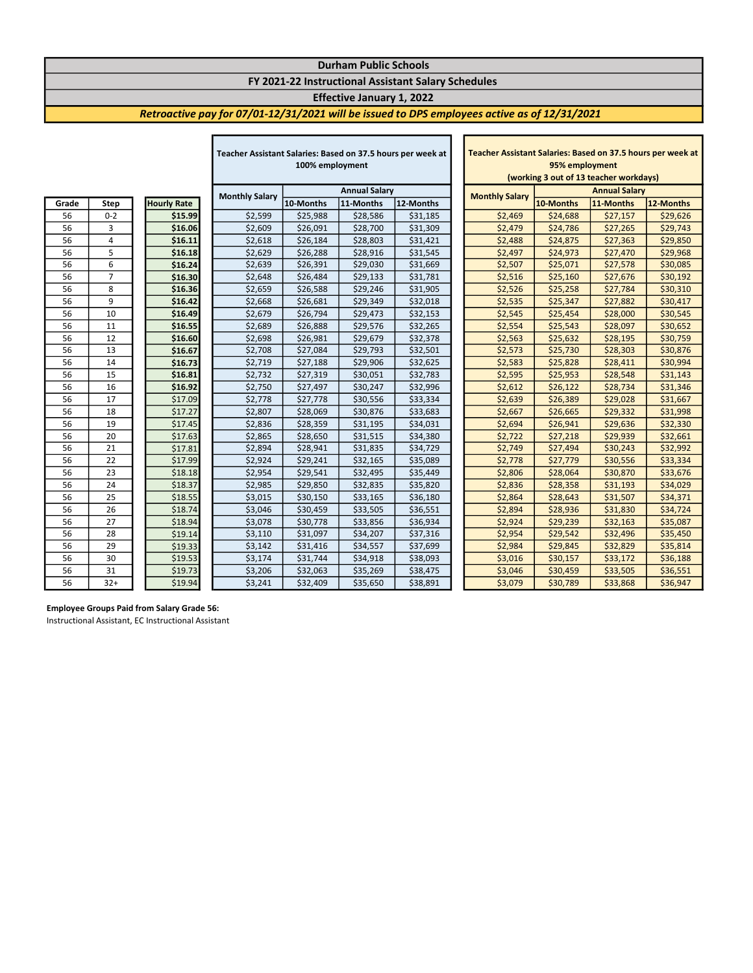## Durham Public Schools FY 2021-22 Instructional Assistant Salary Schedules

# Effective January 1, 2022

 $\mathbf{I}$ 

## Retroactive pay for 07/01-12/31/2021 will be issued to DPS employees active as of 12/31/2021

|       |                |                    | Teacher Assistant Salaries: Based on 37.5 hours per week at |                      |           |           | Teacher Assistant Salaries: Based on 37.5 hours per week |                                        |                      |           |           |  |
|-------|----------------|--------------------|-------------------------------------------------------------|----------------------|-----------|-----------|----------------------------------------------------------|----------------------------------------|----------------------|-----------|-----------|--|
|       |                |                    | 100% employment                                             |                      |           |           |                                                          | 95% employment                         |                      |           |           |  |
|       |                |                    |                                                             |                      |           |           |                                                          | (working 3 out of 13 teacher workdays) |                      |           |           |  |
|       |                |                    | <b>Monthly Salary</b>                                       | <b>Annual Salary</b> |           |           |                                                          | <b>Monthly Salary</b>                  | <b>Annual Salary</b> |           |           |  |
| Grade | Step           | <b>Hourly Rate</b> |                                                             | 10-Months            | 11-Months | 12-Months |                                                          |                                        | 10-Months            | 11-Months | 12-Months |  |
| 56    | $0 - 2$        | \$15.99            | \$2,599                                                     | \$25,988             | \$28,586  | \$31,185  |                                                          | \$2,469                                | \$24,688             | \$27,157  | \$29,626  |  |
| 56    | 3              | \$16.06            | \$2,609                                                     | \$26,091             | \$28,700  | \$31,309  |                                                          | \$2,479                                | \$24,786             | \$27,265  | \$29,743  |  |
| 56    | 4              | \$16.11            | \$2,618                                                     | \$26,184             | \$28,803  | \$31,421  |                                                          | \$2,488                                | \$24,875             | \$27,363  | \$29,850  |  |
| 56    | 5              | \$16.18            | \$2,629                                                     | \$26,288             | \$28,916  | \$31,545  |                                                          | \$2,497                                | \$24,973             | \$27,470  | \$29,968  |  |
| 56    | 6              | \$16.24            | \$2,639                                                     | \$26,391             | \$29,030  | \$31,669  |                                                          | \$2,507                                | \$25,071             | \$27,578  | \$30,085  |  |
| 56    | $\overline{7}$ | \$16.30            | \$2,648                                                     | \$26,484             | \$29,133  | \$31,781  |                                                          | \$2,516                                | \$25,160             | \$27,676  | \$30,192  |  |
| 56    | 8              | \$16.36            | \$2,659                                                     | \$26,588             | \$29,246  | \$31,905  |                                                          | \$2,526                                | \$25,258             | \$27,784  | \$30,310  |  |
| 56    | 9              | \$16.42            | \$2,668                                                     | \$26,681             | \$29,349  | \$32,018  |                                                          | \$2,535                                | \$25,347             | \$27,882  | \$30,417  |  |
| 56    | 10             | \$16.49            | \$2,679                                                     | \$26,794             | \$29,473  | \$32,153  |                                                          | \$2,545                                | \$25,454             | \$28,000  | \$30,545  |  |
| 56    | 11             | \$16.55            | \$2,689                                                     | \$26,888             | \$29,576  | \$32,265  |                                                          | \$2,554                                | \$25,543             | \$28,097  | \$30,652  |  |
| 56    | 12             | \$16.60            | \$2,698                                                     | \$26,981             | \$29,679  | \$32,378  |                                                          | \$2,563                                | \$25,632             | \$28,195  | \$30,759  |  |
| 56    | 13             | \$16.67            | \$2,708                                                     | \$27,084             | \$29,793  | \$32,501  |                                                          | \$2,573                                | \$25,730             | \$28,303  | \$30,876  |  |
| 56    | 14             | \$16.73            | \$2,719                                                     | \$27,188             | \$29,906  | \$32,625  |                                                          | \$2,583                                | \$25,828             | \$28,411  | \$30,994  |  |
| 56    | 15             | \$16.81            | \$2,732                                                     | \$27,319             | \$30,051  | \$32,783  |                                                          | \$2,595                                | \$25,953             | \$28,548  | \$31,143  |  |
| 56    | 16             | \$16.92            | \$2,750                                                     | \$27,497             | \$30,247  | \$32,996  |                                                          | \$2,612                                | \$26,122             | \$28,734  | \$31,346  |  |
| 56    | 17             | \$17.09            | \$2,778                                                     | \$27,778             | \$30,556  | \$33,334  |                                                          | \$2,639                                | \$26,389             | \$29,028  | \$31,667  |  |
| 56    | 18             | \$17.27            | \$2,807                                                     | \$28,069             | \$30,876  | \$33,683  |                                                          | \$2,667                                | \$26,665             | \$29,332  | \$31,998  |  |
| 56    | 19             | \$17.45            | \$2,836                                                     | \$28,359             | \$31,195  | \$34,031  |                                                          | \$2,694                                | \$26,941             | \$29,636  | \$32,330  |  |
| 56    | 20             | \$17.63            | \$2,865                                                     | \$28,650             | \$31,515  | \$34,380  |                                                          | \$2,722                                | \$27,218             | \$29,939  | \$32,661  |  |
| 56    | 21             | \$17.81            | \$2,894                                                     | \$28,941             | \$31,835  | \$34,729  |                                                          | \$2,749                                | \$27,494             | \$30,243  | \$32,992  |  |
| 56    | 22             | \$17.99            | \$2,924                                                     | \$29,241             | \$32,165  | \$35,089  |                                                          | \$2,778                                | \$27,779             | \$30,556  | \$33,334  |  |
| 56    | 23             | \$18.18            | \$2,954                                                     | \$29,541             | \$32,495  | \$35,449  |                                                          | \$2,806                                | \$28,064             | \$30,870  | \$33,676  |  |
| 56    | 24             | \$18.37            | \$2,985                                                     | \$29,850             | \$32,835  | \$35,820  |                                                          | \$2,836                                | \$28,358             | \$31,193  | \$34,029  |  |
| 56    | 25             | \$18.55            | \$3,015                                                     | \$30,150             | \$33,165  | \$36,180  |                                                          | \$2,864                                | \$28,643             | \$31,507  | \$34,371  |  |
| 56    | 26             | \$18.74            | \$3,046                                                     | \$30,459             | \$33,505  | \$36,551  |                                                          | \$2,894                                | \$28,936             | \$31,830  | \$34,724  |  |
| 56    | 27             | \$18.94            | \$3,078                                                     | \$30,778             | \$33,856  | \$36,934  |                                                          | \$2,924                                | \$29,239             | \$32,163  | \$35,087  |  |
| 56    | 28             | \$19.14            | \$3,110                                                     | \$31,097             | \$34,207  | \$37,316  |                                                          | \$2,954                                | \$29,542             | \$32,496  | \$35,450  |  |
| 56    | 29             | \$19.33            | \$3,142                                                     | \$31,416             | \$34,557  | \$37,699  |                                                          | \$2,984                                | \$29,845             | \$32,829  | \$35,814  |  |
| 56    | 30             | \$19.53            | \$3,174                                                     | \$31,744             | \$34,918  | \$38,093  |                                                          | \$3,016                                | \$30,157             | \$33,172  | \$36,188  |  |
| 56    | 31             | \$19.73            | \$3,206                                                     | \$32,063             | \$35,269  | \$38,475  |                                                          | \$3,046                                | \$30,459             | \$33,505  | \$36,551  |  |
| 56    | $32+$          | \$19.94            | \$3,241                                                     | \$32,409             | \$35,650  | \$38,891  |                                                          | \$3,079                                | \$30,789             | \$33,868  | \$36,947  |  |

Г

| Teacher Assistant Salaries: Based on 37.5 hours per week at |           |           |           |  |  |  |  |  |  |
|-------------------------------------------------------------|-----------|-----------|-----------|--|--|--|--|--|--|
| 95% employment                                              |           |           |           |  |  |  |  |  |  |
| (working 3 out of 13 teacher workdays)                      |           |           |           |  |  |  |  |  |  |
| <b>Annual Salary</b><br><b>Monthly Salary</b>               |           |           |           |  |  |  |  |  |  |
|                                                             | 10-Months | 11-Months | 12-Months |  |  |  |  |  |  |
| \$2,469                                                     | \$24,688  | \$27,157  | \$29,626  |  |  |  |  |  |  |
| \$2,479                                                     | \$24,786  | \$27,265  | \$29,743  |  |  |  |  |  |  |
| \$2,488                                                     | \$24,875  | \$27,363  | \$29,850  |  |  |  |  |  |  |
| \$2,497                                                     | \$24,973  | \$27,470  | \$29,968  |  |  |  |  |  |  |
| \$2,507                                                     | \$25,071  | \$27,578  | \$30,085  |  |  |  |  |  |  |
| \$2,516                                                     | \$25,160  | \$27,676  | \$30,192  |  |  |  |  |  |  |
| \$2,526                                                     | \$25,258  | \$27,784  | \$30,310  |  |  |  |  |  |  |
| \$2,535                                                     | \$25,347  | \$27,882  | \$30,417  |  |  |  |  |  |  |
| \$2,545                                                     | \$25,454  | \$28,000  | \$30,545  |  |  |  |  |  |  |
| \$2,554                                                     | \$25,543  | \$28,097  | \$30,652  |  |  |  |  |  |  |
| \$2,563                                                     | \$25,632  | \$28,195  | \$30,759  |  |  |  |  |  |  |
| \$2,573                                                     | \$25,730  | \$28,303  | \$30,876  |  |  |  |  |  |  |
| \$2,583                                                     | \$25,828  | \$28,411  | \$30,994  |  |  |  |  |  |  |
| \$2,595                                                     | \$25,953  | \$28,548  | \$31,143  |  |  |  |  |  |  |
| \$2,612                                                     | \$26,122  | \$28,734  | \$31,346  |  |  |  |  |  |  |
| \$2,639                                                     | \$26,389  | \$29,028  | \$31,667  |  |  |  |  |  |  |
| \$2,667                                                     | \$26,665  | \$29,332  | \$31,998  |  |  |  |  |  |  |
| \$2,694                                                     | \$26,941  | \$29,636  | \$32,330  |  |  |  |  |  |  |
| \$2,722                                                     | \$27,218  | \$29,939  | \$32,661  |  |  |  |  |  |  |
| \$2,749                                                     | \$27,494  | \$30,243  | \$32,992  |  |  |  |  |  |  |
| \$2,778                                                     | \$27,779  | \$30,556  | \$33,334  |  |  |  |  |  |  |
| \$2,806                                                     | \$28,064  | \$30,870  | \$33,676  |  |  |  |  |  |  |
| \$2,836                                                     | \$28,358  | \$31,193  | \$34,029  |  |  |  |  |  |  |
| \$2,864                                                     | \$28,643  | \$31,507  | \$34,371  |  |  |  |  |  |  |
| \$2,894                                                     | \$28,936  | \$31,830  | \$34,724  |  |  |  |  |  |  |
| \$2,924                                                     | \$29,239  | \$32,163  | \$35,087  |  |  |  |  |  |  |
| \$2,954                                                     | \$29,542  | \$32,496  | \$35,450  |  |  |  |  |  |  |
| \$2,984                                                     | \$29,845  | \$32,829  | \$35,814  |  |  |  |  |  |  |
| \$3,016                                                     | \$30,157  | \$33,172  | \$36,188  |  |  |  |  |  |  |
| \$3,046                                                     | \$30,459  | \$33,505  | \$36,551  |  |  |  |  |  |  |
| \$3,079                                                     | \$30,789  | \$33,868  | \$36,947  |  |  |  |  |  |  |

#### Employee Groups Paid from Salary Grade 56:

Instructional Assistant, EC Instructional Assistant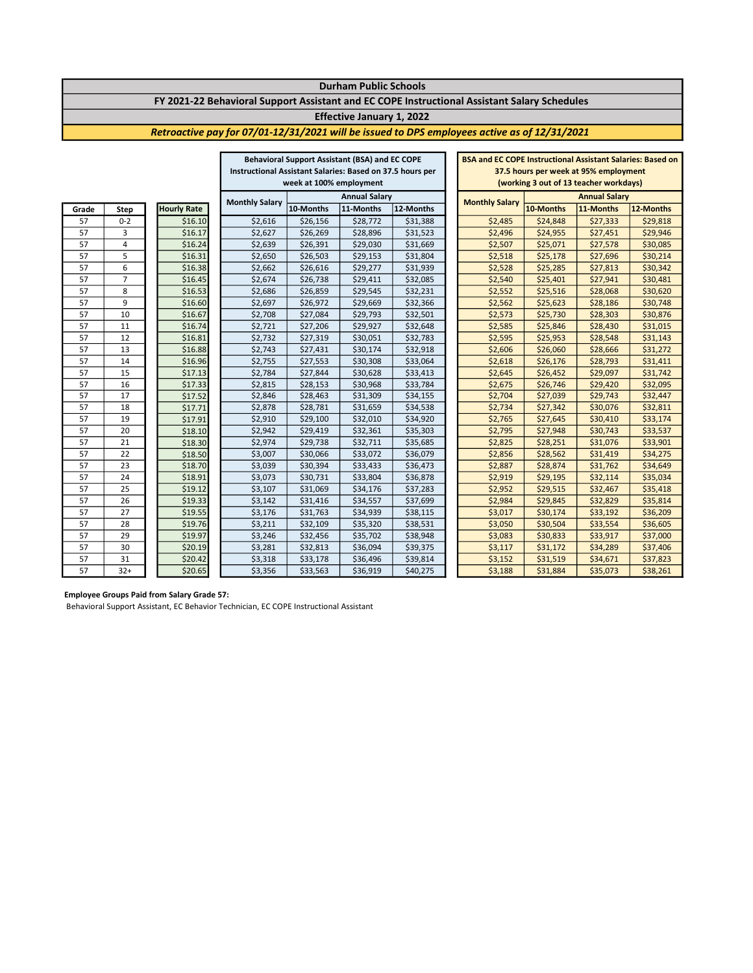### Durham Public Schools FY 2021-22 Behavioral Support Assistant and EC COPE Instructional Assistant Salary Schedules

#### Effective January 1, 2022

### Retroactive pay for 07/01-12/31/2021 will be issued to DPS employees active as of 12/31/2021

|       |                |                    | <b>Behavioral Support Assistant (BSA) and EC COPE</b>     |           |           |                       | <b>BSA and EC COPE Instructional Assistant Salaries: Based on</b> |           |           |           |          |
|-------|----------------|--------------------|-----------------------------------------------------------|-----------|-----------|-----------------------|-------------------------------------------------------------------|-----------|-----------|-----------|----------|
|       |                |                    | Instructional Assistant Salaries: Based on 37.5 hours per |           |           |                       | 37.5 hours per week at 95% employment                             |           |           |           |          |
|       |                |                    | week at 100% employment                                   |           |           |                       | (working 3 out of 13 teacher workdays)                            |           |           |           |          |
|       |                |                    | <b>Annual Salary</b>                                      |           |           | <b>Monthly Salary</b> | <b>Annual Salary</b>                                              |           |           |           |          |
| Grade | <b>Step</b>    | <b>Hourly Rate</b> | <b>Monthly Salary</b>                                     | 10-Months | 11-Months | 12-Months             |                                                                   | 10-Months | 11-Months | 12-Months |          |
| 57    | $0 - 2$        |                    | \$16.10                                                   | \$2,616   | \$26,156  | \$28,772              | \$31,388                                                          | \$2,485   | \$24,848  | \$27,333  | \$29,818 |
| 57    | 3              |                    | \$16.17                                                   | \$2,627   | \$26,269  | \$28,896              | \$31,523                                                          | \$2,496   | \$24,955  | \$27,451  | \$29,946 |
| 57    | $\overline{4}$ |                    | \$16.24                                                   | \$2,639   | \$26,391  | \$29,030              | \$31,669                                                          | \$2,507   | \$25,071  | \$27,578  | \$30,085 |
| 57    | 5              |                    | \$16.31                                                   | \$2,650   | \$26,503  | \$29,153              | \$31,804                                                          | \$2,518   | \$25,178  | \$27,696  | \$30,214 |
| 57    | 6              |                    | \$16.38                                                   | \$2,662   | \$26,616  | \$29,277              | \$31,939                                                          | \$2,528   | \$25,285  | \$27,813  | \$30,342 |
| 57    | $\overline{7}$ |                    | \$16.45                                                   | \$2,674   | \$26,738  | \$29,411              | \$32,085                                                          | \$2,540   | \$25,401  | \$27,941  | \$30,481 |
| 57    | 8              |                    | \$16.53                                                   | \$2,686   | \$26,859  | \$29,545              | \$32,231                                                          | \$2,552   | \$25,516  | \$28,068  | \$30,620 |
| 57    | 9              |                    | \$16.60                                                   | \$2,697   | \$26,972  | \$29,669              | \$32,366                                                          | \$2,562   | \$25,623  | \$28,186  | \$30,748 |
| 57    | 10             |                    | \$16.67                                                   | \$2,708   | \$27,084  | \$29,793              | \$32,501                                                          | \$2,573   | \$25,730  | \$28,303  | \$30,876 |
| 57    | 11             |                    | \$16.74                                                   | \$2,721   | \$27,206  | \$29,927              | \$32,648                                                          | \$2,585   | \$25,846  | \$28,430  | \$31,015 |
| 57    | 12             |                    | \$16.81                                                   | \$2,732   | \$27,319  | \$30,051              | \$32,783                                                          | \$2,595   | \$25,953  | \$28,548  | \$31,143 |
| 57    | 13             |                    | \$16.88                                                   | \$2,743   | \$27,431  | \$30,174              | \$32,918                                                          | \$2,606   | \$26,060  | \$28,666  | \$31,272 |
| 57    | 14             |                    | \$16.96                                                   | \$2,755   | \$27,553  | \$30,308              | \$33,064                                                          | \$2,618   | \$26,176  | \$28,793  | \$31,411 |
| 57    | 15             |                    | \$17.13                                                   | \$2,784   | \$27,844  | \$30,628              | \$33,413                                                          | \$2,645   | \$26,452  | \$29,097  | \$31,742 |
| 57    | 16             |                    | \$17.33                                                   | \$2,815   | \$28,153  | \$30,968              | \$33,784                                                          | \$2,675   | \$26,746  | \$29,420  | \$32,095 |
| 57    | 17             |                    | \$17.52                                                   | \$2,846   | \$28,463  | \$31,309              | \$34,155                                                          | \$2,704   | \$27,039  | \$29,743  | \$32,447 |
| 57    | 18             |                    | \$17.71                                                   | \$2,878   | \$28,781  | \$31,659              | \$34,538                                                          | \$2,734   | \$27,342  | \$30,076  | \$32,811 |
| 57    | 19             |                    | \$17.91                                                   | \$2,910   | \$29,100  | \$32,010              | \$34,920                                                          | \$2,765   | \$27,645  | \$30,410  | \$33,174 |
| 57    | 20             |                    | \$18.10                                                   | \$2,942   | \$29,419  | \$32,361              | \$35,303                                                          | \$2,795   | \$27,948  | \$30,743  | \$33,537 |
| 57    | 21             |                    | \$18.30                                                   | \$2,974   | \$29,738  | \$32,711              | \$35,685                                                          | \$2,825   | \$28,251  | \$31,076  | \$33,901 |
| 57    | 22             |                    | \$18.50                                                   | \$3,007   | \$30,066  | \$33,072              | \$36,079                                                          | \$2,856   | \$28,562  | \$31,419  | \$34,275 |
| 57    | 23             |                    | \$18.70                                                   | \$3,039   | \$30,394  | \$33,433              | \$36,473                                                          | \$2,887   | \$28,874  | \$31,762  | \$34,649 |
| 57    | 24             |                    | \$18.91                                                   | \$3,073   | \$30,731  | \$33,804              | \$36,878                                                          | \$2,919   | \$29,195  | \$32,114  | \$35,034 |
| 57    | 25             |                    | \$19.12                                                   | \$3,107   | \$31,069  | \$34,176              | \$37,283                                                          | \$2,952   | \$29,515  | \$32,467  | \$35,418 |
| 57    | 26             |                    | \$19.33                                                   | \$3,142   | \$31,416  | \$34,557              | \$37,699                                                          | \$2,984   | \$29,845  | \$32,829  | \$35,814 |
| 57    | 27             |                    | \$19.55                                                   | \$3,176   | \$31,763  | \$34,939              | \$38,115                                                          | \$3,017   | \$30,174  | \$33,192  | \$36,209 |
| 57    | 28             |                    | \$19.76                                                   | \$3,211   | \$32,109  | \$35,320              | \$38,531                                                          | \$3,050   | \$30,504  | \$33,554  | \$36,605 |
| 57    | 29             |                    | \$19.97                                                   | \$3,246   | \$32,456  | \$35,702              | \$38,948                                                          | \$3,083   | \$30,833  | \$33,917  | \$37,000 |
| 57    | 30             |                    | \$20.19                                                   | \$3,281   | \$32,813  | \$36,094              | \$39,375                                                          | \$3,117   | \$31,172  | \$34,289  | \$37,406 |
| 57    | 31             |                    | \$20.42                                                   | \$3,318   | \$33,178  | \$36,496              | \$39,814                                                          | \$3,152   | \$31,519  | \$34,671  | \$37,823 |
| 57    | $32+$          |                    | \$20.65                                                   | \$3,356   | \$33,563  | \$36,919              | \$40,275                                                          | \$3,188   | \$31,884  | \$35,073  | \$38,261 |

#### Employee Groups Paid from Salary Grade 57:

Behavioral Support Assistant, EC Behavior Technician, EC COPE Instructional Assistant